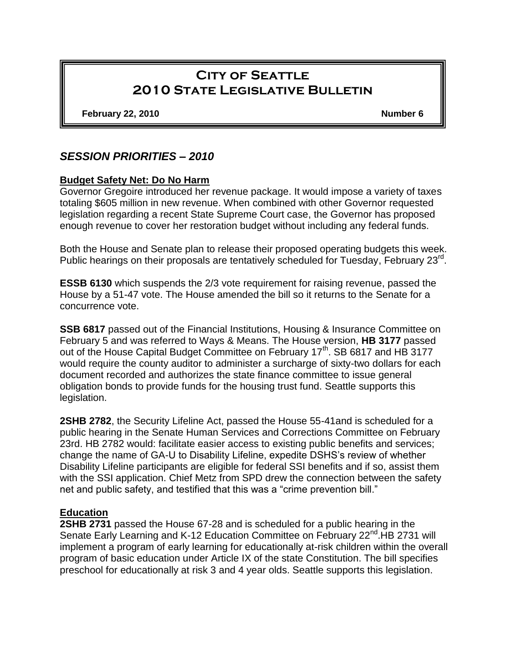# **City of Seattle 2010 State Legislative Bulletin**

**February 22, 2010 Number 6**

## *SESSION PRIORITIES – 2010*

#### **Budget Safety Net: Do No Harm**

Governor Gregoire introduced her revenue package. It would impose a variety of taxes totaling \$605 million in new revenue. When combined with other Governor requested legislation regarding a recent State Supreme Court case, the Governor has proposed enough revenue to cover her restoration budget without including any federal funds.

Both the House and Senate plan to release their proposed operating budgets this week. Public hearings on their proposals are tentatively scheduled for Tuesday, February 23rd.

**ESSB 6130** which suspends the 2/3 vote requirement for raising revenue, passed the House by a 51-47 vote. The House amended the bill so it returns to the Senate for a concurrence vote.

**SSB 6817** passed out of the Financial Institutions, Housing & Insurance Committee on February 5 and was referred to Ways & Means. The House version, **HB 3177** passed out of the House Capital Budget Committee on February 17<sup>th</sup>. SB 6817 and HB 3177 would require the county auditor to administer a surcharge of sixty-two dollars for each document recorded and authorizes the state finance committee to issue general obligation bonds to provide funds for the housing trust fund. Seattle supports this legislation.

**2SHB 2782**, the Security Lifeline Act, passed the House 55-41and is scheduled for a public hearing in the Senate Human Services and Corrections Committee on February 23rd. HB 2782 would: facilitate easier access to existing public benefits and services; change the name of GA-U to Disability Lifeline, expedite DSHS's review of whether Disability Lifeline participants are eligible for federal SSI benefits and if so, assist them with the SSI application. Chief Metz from SPD drew the connection between the safety net and public safety, and testified that this was a "crime prevention bill."

#### **Education**

**2SHB 2731** passed the House 67-28 and is scheduled for a public hearing in the Senate Early Learning and K-12 Education Committee on February 22<sup>nd</sup>.HB 2731 will implement a program of early learning for educationally at-risk children within the overall program of basic education under Article IX of the state Constitution. The bill specifies preschool for educationally at risk 3 and 4 year olds. Seattle supports this legislation.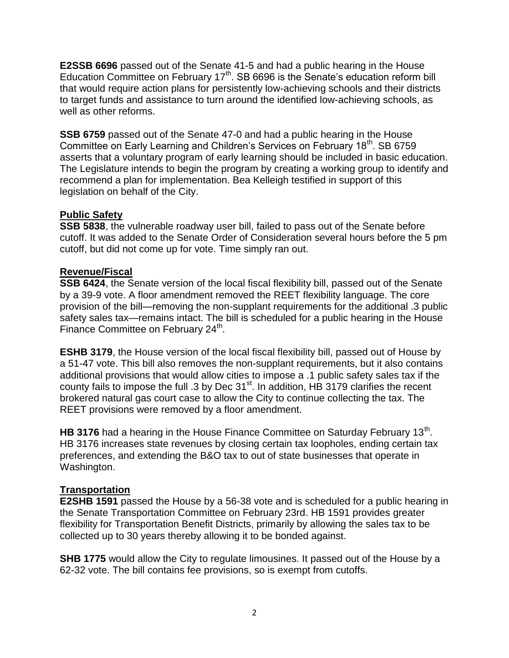**E2SSB 6696** passed out of the Senate 41-5 and had a public hearing in the House Education Committee on February  $17<sup>th</sup>$ . SB 6696 is the Senate's education reform bill that would require action plans for persistently low-achieving schools and their districts to target funds and assistance to turn around the identified low-achieving schools, as well as other reforms.

**SSB 6759** passed out of the Senate 47-0 and had a public hearing in the House Committee on Early Learning and Children's Services on February 18<sup>th</sup>. SB 6759 asserts that a voluntary program of early learning should be included in basic education. The Legislature intends to begin the program by creating a working group to identify and recommend a plan for implementation. Bea Kelleigh testified in support of this legislation on behalf of the City.

## **Public Safety**

**SSB 5838**, the vulnerable roadway user bill, failed to pass out of the Senate before cutoff. It was added to the Senate Order of Consideration several hours before the 5 pm cutoff, but did not come up for vote. Time simply ran out.

#### **Revenue/Fiscal**

**SSB 6424**, the Senate version of the local fiscal flexibility bill, passed out of the Senate by a 39-9 vote. A floor amendment removed the REET flexibility language. The core provision of the bill—removing the non-supplant requirements for the additional .3 public safety sales tax—remains intact. The bill is scheduled for a public hearing in the House Finance Committee on February 24<sup>th</sup>.

**ESHB 3179**, the House version of the local fiscal flexibility bill, passed out of House by a 51-47 vote. This bill also removes the non-supplant requirements, but it also contains additional provisions that would allow cities to impose a .1 public safety sales tax if the county fails to impose the full .3 by Dec 31<sup>st</sup>. In addition, HB 3179 clarifies the recent brokered natural gas court case to allow the City to continue collecting the tax. The REET provisions were removed by a floor amendment.

HB 3176 had a hearing in the House Finance Committee on Saturday February 13<sup>th</sup>. HB 3176 increases state revenues by closing certain tax loopholes, ending certain tax preferences, and extending the B&O tax to out of state businesses that operate in Washington.

## **Transportation**

**E2SHB 1591** passed the House by a 56-38 vote and is scheduled for a public hearing in the Senate Transportation Committee on February 23rd. HB 1591 provides greater flexibility for Transportation Benefit Districts, primarily by allowing the sales tax to be collected up to 30 years thereby allowing it to be bonded against.

**SHB 1775** would allow the City to regulate limousines. It passed out of the House by a 62-32 vote. The bill contains fee provisions, so is exempt from cutoffs.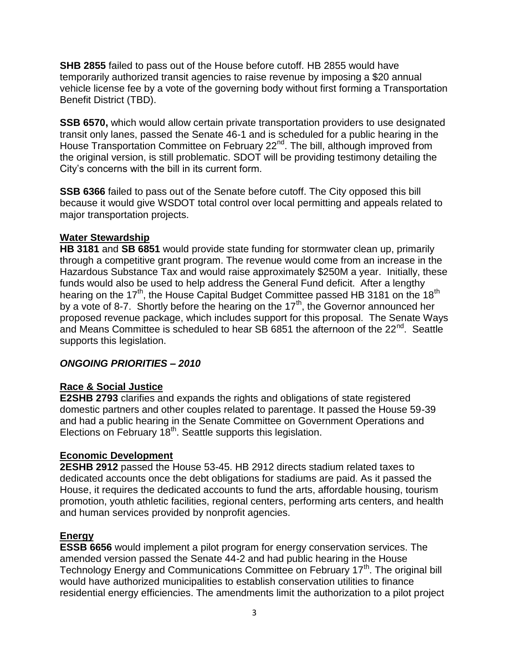**SHB 2855** failed to pass out of the House before cutoff. HB 2855 would have temporarily authorized transit agencies to raise revenue by imposing a \$20 annual vehicle license fee by a vote of the governing body without first forming a Transportation Benefit District (TBD).

**SSB 6570,** which would allow certain private transportation providers to use designated transit only lanes, passed the Senate 46-1 and is scheduled for a public hearing in the House Transportation Committee on February 22<sup>nd</sup>. The bill, although improved from the original version, is still problematic. SDOT will be providing testimony detailing the City's concerns with the bill in its current form.

**SSB 6366** failed to pass out of the Senate before cutoff. The City opposed this bill because it would give WSDOT total control over local permitting and appeals related to major transportation projects.

#### **Water Stewardship**

**HB 3181** and **SB 6851** would provide state funding for stormwater clean up, primarily through a competitive grant program. The revenue would come from an increase in the Hazardous Substance Tax and would raise approximately \$250M a year. Initially, these funds would also be used to help address the General Fund deficit. After a lengthy hearing on the 17<sup>th</sup>, the House Capital Budget Committee passed HB 3181 on the 18<sup>th</sup> by a vote of 8-7. Shortly before the hearing on the  $17<sup>th</sup>$ , the Governor announced her proposed revenue package, which includes support for this proposal. The Senate Ways and Means Committee is scheduled to hear SB 6851 the afternoon of the 22<sup>nd</sup>. Seattle supports this legislation.

#### *ONGOING PRIORITIES – 2010*

## **Race & Social Justice**

**E2SHB 2793** clarifies and expands the rights and obligations of state registered domestic partners and other couples related to parentage. It passed the House 59-39 and had a public hearing in the Senate Committee on Government Operations and Elections on February 18<sup>th</sup>. Seattle supports this legislation.

#### **Economic Development**

**2ESHB 2912** passed the House 53-45. HB 2912 directs stadium related taxes to dedicated accounts once the debt obligations for stadiums are paid. As it passed the House, it requires the dedicated accounts to fund the arts, affordable housing, tourism promotion, youth athletic facilities, regional centers, performing arts centers, and health and human services provided by nonprofit agencies.

#### **Energy**

**ESSB 6656** would implement a pilot program for energy conservation services. The amended version passed the Senate 44-2 and had public hearing in the House Technology Energy and Communications Committee on February 17<sup>th</sup>. The original bill would have authorized municipalities to establish conservation utilities to finance residential energy efficiencies. The amendments limit the authorization to a pilot project